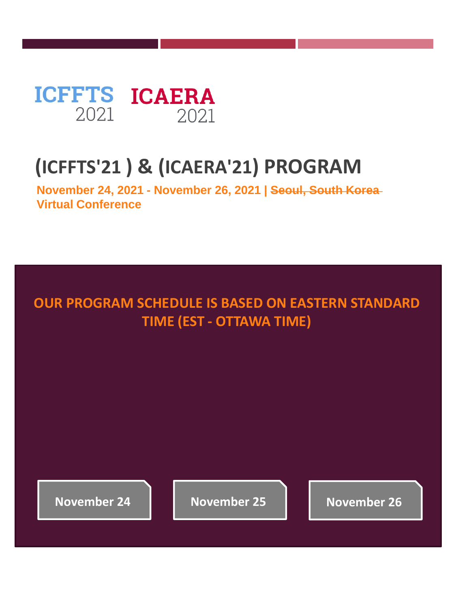<span id="page-0-0"></span>

#### **(ICFFTS'21 ) & (ICAERA'21) PROGRAM**

**November 24, 2021 - November 26, 2021 | Seoul, South Korea Virtual Conference**

#### **OUR PROGRAM SCHEDULE IS BASED ON EASTERN STANDARD TIME (EST - OTTAWA TIME)**

**[November 24](#page-2-0) [November 25](#page-2-0) [November 26](#page-10-0)**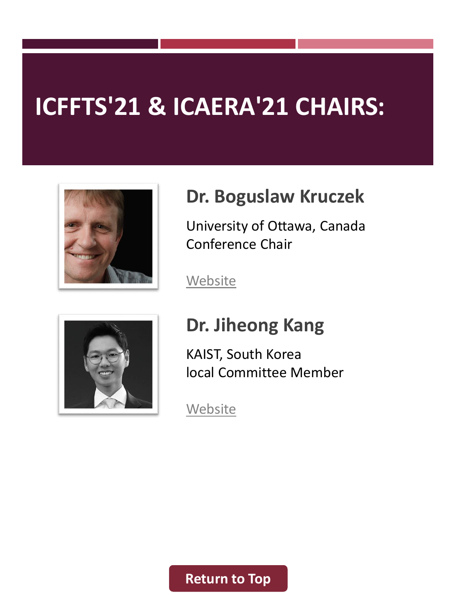# **ICFFTS'21 & ICAERA'21 CHAIRS:**



#### **Dr. Boguslaw Kruczek**

University of Ottawa, Canada Conference Chair

[Website](https://engineering.uottawa.ca/people/kruczek-boguslaw)



#### **Dr. Jiheong Kang**

KAIST, South Korea local Committee Member

**[Website](https://www.jiheongkanglab.com/)** 

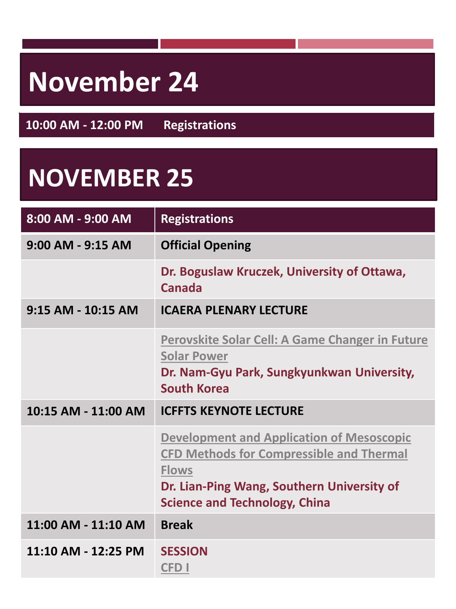# <span id="page-2-0"></span>**November 24**

**10:00 AM - 12:00 PM Registrations**

## **NOVEMBER 25**

| 8:00 AM - 9:00 AM     | <b>Registrations</b>                                                                                                                                                                                      |
|-----------------------|-----------------------------------------------------------------------------------------------------------------------------------------------------------------------------------------------------------|
| $9:00$ AM - $9:15$ AM | <b>Official Opening</b>                                                                                                                                                                                   |
|                       | Dr. Boguslaw Kruczek, University of Ottawa,<br>Canada                                                                                                                                                     |
| 9:15 AM - 10:15 AM    | <b>ICAERA PLENARY LECTURE</b>                                                                                                                                                                             |
|                       | Perovskite Solar Cell: A Game Changer in Future<br><b>Solar Power</b><br>Dr. Nam-Gyu Park, Sungkyunkwan University,<br><b>South Korea</b>                                                                 |
| 10:15 AM - 11:00 AM   | <b>ICFFTS KEYNOTE LECTURE</b>                                                                                                                                                                             |
|                       | <b>Development and Application of Mesoscopic</b><br><b>CFD Methods for Compressible and Thermal</b><br><b>Flows</b><br>Dr. Lian-Ping Wang, Southern University of<br><b>Science and Technology, China</b> |
| 11:00 AM - 11:10 AM   | <b>Break</b>                                                                                                                                                                                              |
| 11:10 AM - 12:25 PM   | <b>SESSION</b><br>CFD I                                                                                                                                                                                   |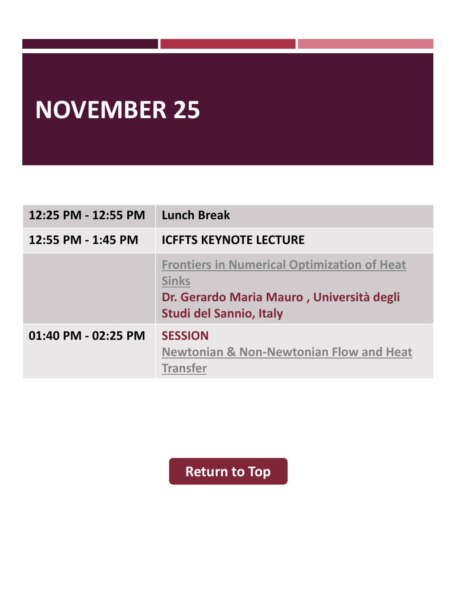# **NOVEMBER 25**

| 12:25 PM - 12:55 PM | <b>Lunch Break</b>                                                                                                                         |
|---------------------|--------------------------------------------------------------------------------------------------------------------------------------------|
| 12:55 PM - 1:45 PM  | <b>ICFFTS KEYNOTE LECTURE</b>                                                                                                              |
|                     | <b>Frontiers in Numerical Optimization of Heat</b><br><b>Sinks</b><br>Dr. Gerardo Maria Mauro, Università degli<br>Studi del Sannio, Italy |
| 01:40 PM - 02:25 PM | <b>SESSION</b><br><b>Newtonian &amp; Non-Newtonian Flow and Heat</b><br><b>Transfer</b>                                                    |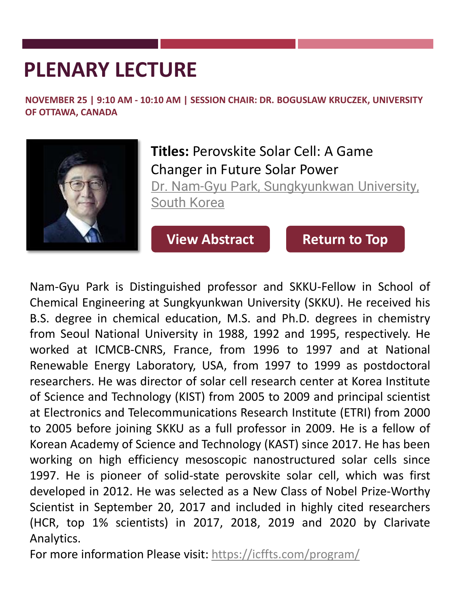## <span id="page-4-0"></span>**PLENARY LECTURE**

**NOVEMBER 25 | 9:10 AM - 10:10 AM | SESSION CHAIR: DR. BOGUSLAW KRUCZEK, UNIVERSITY OF OTTAWA, CANADA**



**Titles:** Perovskite Solar Cell: A Game Changer in Future Solar Power Dr. Nam-Gyu [Park, Sungkyunkwan](https://cheme.skku.edu/park-nam-gyu/) University, South Korea

**[View Abstract](https://icffts.com/program/paper/Keynote-Dr.Park.pdf) [Return to Top](#page-0-0)** 

Nam-Gyu Park is Distinguished professor and SKKU-Fellow in School of Chemical Engineering at Sungkyunkwan University (SKKU). He received his B.S. degree in chemical education, M.S. and Ph.D. degrees in chemistry from Seoul National University in 1988, 1992 and 1995, respectively. He worked at ICMCB-CNRS, France, from 1996 to 1997 and at National Renewable Energy Laboratory, USA, from 1997 to 1999 as postdoctoral researchers. He was director of solar cell research center at Korea Institute of Science and Technology (KIST) from 2005 to 2009 and principal scientist at Electronics and Telecommunications Research Institute (ETRI) from 2000 to 2005 before joining SKKU as a full professor in 2009. He is a fellow of Korean Academy of Science and Technology (KAST) since 2017. He has been working on high efficiency mesoscopic nanostructured solar cells since 1997. He is pioneer of solid-state perovskite solar cell, which was first developed in 2012. He was selected as a New Class of Nobel Prize-Worthy Scientist in September 20, 2017 and included in highly cited researchers (HCR, top 1% scientists) in 2017, 2018, 2019 and 2020 by Clarivate Analytics.

For more information Please visit: <https://icffts.com/program/>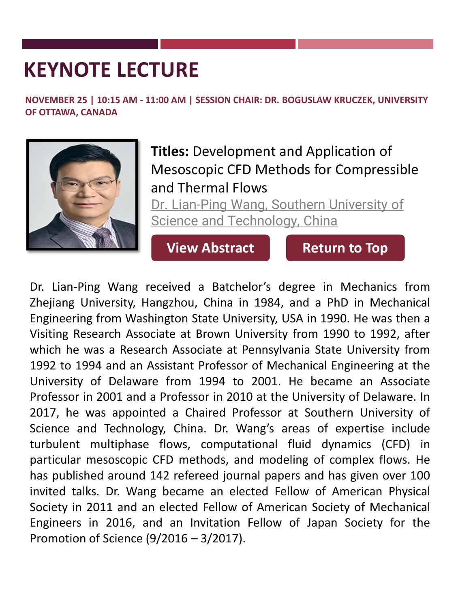<span id="page-5-0"></span>**NOVEMBER 25 | 10:15 AM - 11:00 AM | SESSION CHAIR: DR. BOGUSLAW KRUCZEK, UNIVERSITY OF OTTAWA, CANADA**



**Titles:** Development and Application of Mesoscopic CFD Methods for Compressible and Thermal Flows

[Dr. Lian-Ping Wang, Southern University of](https://faculty.sustech.edu.cn/?cat=29&tagid=wanglp&iscss=1&snapid=1&lang=en) Science and Technology, China

**[View Abstract](https://icffts.com/program/paper/Keynote-Dr.Wang.pdf) [Return to Top](#page-0-0)** 

Dr. Lian-Ping Wang received a Batchelor's degree in Mechanics from Zhejiang University, Hangzhou, China in 1984, and a PhD in Mechanical Engineering from Washington State University, USA in 1990. He was then a Visiting Research Associate at Brown University from 1990 to 1992, after which he was a Research Associate at Pennsylvania State University from 1992 to 1994 and an Assistant Professor of Mechanical Engineering at the University of Delaware from 1994 to 2001. He became an Associate Professor in 2001 and a Professor in 2010 at the University of Delaware. In 2017, he was appointed a Chaired Professor at Southern University of Science and Technology, China. Dr. Wang's areas of expertise include turbulent multiphase flows, computational fluid dynamics (CFD) in particular mesoscopic CFD methods, and modeling of complex flows. He has published around 142 refereed journal papers and has given over 100 invited talks. Dr. Wang became an elected Fellow of American Physical Society in 2011 and an elected Fellow of American Society of Mechanical Engineers in 2016, and an Invitation Fellow of Japan Society for the Promotion of Science (9/2016 – 3/2017).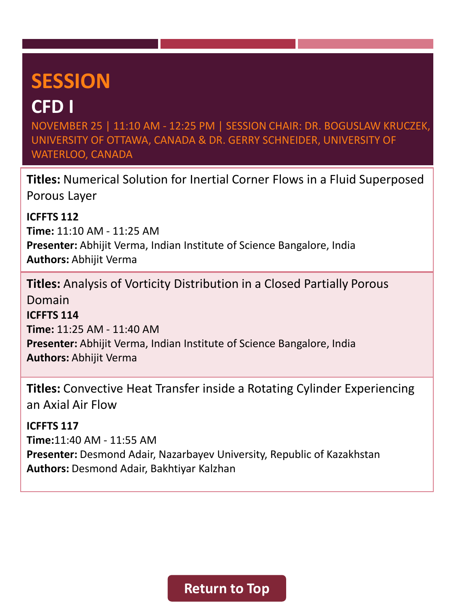#### <span id="page-6-0"></span>**CFD I**

NOVEMBER 25 | 11:10 AM - 12:25 PM | SESSION CHAIR: DR. BOGUSLAW KRUCZEK, UNIVERSITY OF OTTAWA, CANADA & DR. GERRY SCHNEIDER, UNIVERSITY OF WATERLOO, CANADA

**Titles:** Numerical Solution for Inertial Corner Flows in a Fluid Superposed Porous Layer

**ICFFTS 112 Time:** 11:10 AM - 11:25 AM **Presenter:** Abhijit Verma, Indian Institute of Science Bangalore, India **Authors:** Abhijit Verma

**Titles:** Analysis of Vorticity Distribution in a Closed Partially Porous Domain **ICFFTS 114 Time:** 11:25 AM - 11:40 AM **Presenter:** Abhijit Verma, Indian Institute of Science Bangalore, India **Authors:** Abhijit Verma

**Titles:** Convective Heat Transfer inside a Rotating Cylinder Experiencing an Axial Air Flow

**ICFFTS 117 Time:**11:40 AM - 11:55 AM **Presenter:** Desmond Adair, Nazarbayev University, Republic of Kazakhstan **Authors:** Desmond Adair, Bakhtiyar Kalzhan

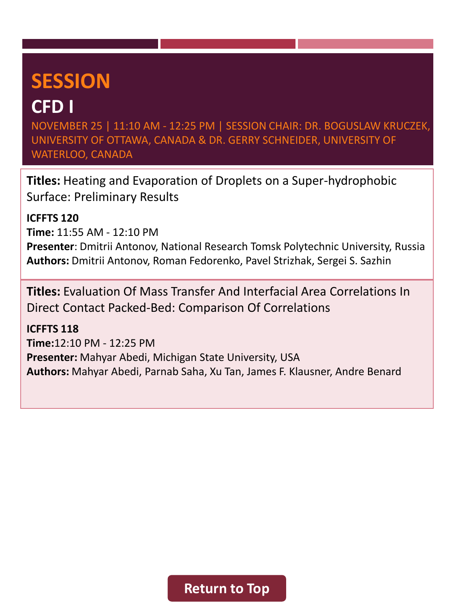#### **CFD I**

NOVEMBER 25 | 11:10 AM - 12:25 PM | SESSION CHAIR: DR. BOGUSLAW KRUCZEK, UNIVERSITY OF OTTAWA, CANADA & DR. GERRY SCHNEIDER, UNIVERSITY OF WATERLOO, CANADA

**Titles:** Heating and Evaporation of Droplets on a Super-hydrophobic Surface: Preliminary Results

**ICFFTS 120**

**Time:** 11:55 AM - 12:10 PM

**Presenter**: Dmitrii Antonov, National Research Tomsk Polytechnic University, Russia **Authors:** Dmitrii Antonov, Roman Fedorenko, Pavel Strizhak, Sergei S. Sazhin

**Titles:** Evaluation Of Mass Transfer And Interfacial Area Correlations In Direct Contact Packed-Bed: Comparison Of Correlations

**ICFFTS 118 Time:**12:10 PM - 12:25 PM **Presenter:** Mahyar Abedi, Michigan State University, USA **Authors:** Mahyar Abedi, Parnab Saha, Xu Tan, James F. Klausner, Andre Benard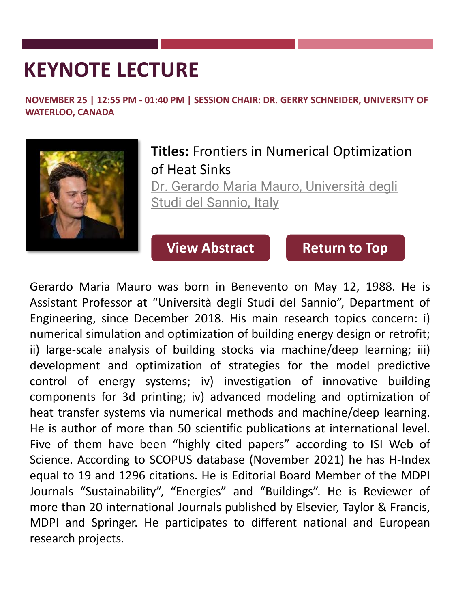<span id="page-8-0"></span>**NOVEMBER 25 | 12:55 PM - 01:40 PM | SESSION CHAIR: DR. GERRY SCHNEIDER, UNIVERSITY OF WATERLOO, CANADA**



#### **Titles:** Frontiers in Numerical Optimization of Heat Sinks

[Dr. Gerardo Maria Mauro, Università degli](https://www.unisannio.it/it/user/6721/curriculum)  Studi del Sannio, Italy

**[View Abstract](https://icffts.com/program/paper/Keynote-Dr.Mauro.pdf) [Return to Top](#page-0-0)** 

Gerardo Maria Mauro was born in Benevento on May 12, 1988. He is Assistant Professor at "Università degli Studi del Sannio", Department of Engineering, since December 2018. His main research topics concern: i) numerical simulation and optimization of building energy design or retrofit; ii) large-scale analysis of building stocks via machine/deep learning; iii) development and optimization of strategies for the model predictive control of energy systems; iv) investigation of innovative building components for 3d printing; iv) advanced modeling and optimization of heat transfer systems via numerical methods and machine/deep learning. He is author of more than 50 scientific publications at international level. Five of them have been "highly cited papers" according to ISI Web of Science. According to SCOPUS database (November 2021) he has H-Index equal to 19 and 1296 citations. He is Editorial Board Member of the MDPI Journals "Sustainability", "Energies" and "Buildings". He is Reviewer of more than 20 international Journals published by Elsevier, Taylor & Francis, MDPI and Springer. He participates to different national and European research projects.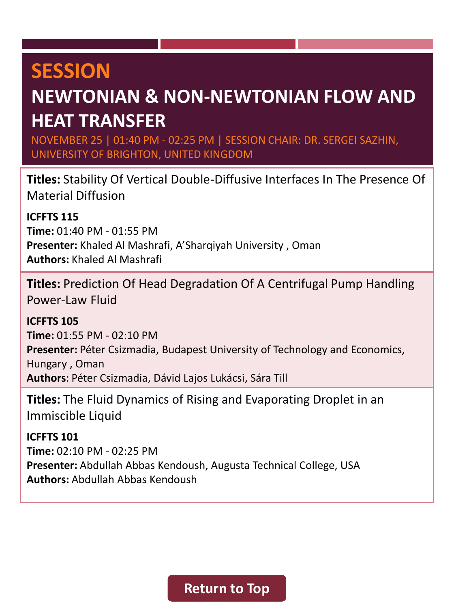#### <span id="page-9-0"></span>**NEWTONIAN & NON-NEWTONIAN FLOW AND HEAT TRANSFER**

NOVEMBER 25 | 01:40 PM - 02:25 PM | SESSION CHAIR: DR. SERGEI SAZHIN, UNIVERSITY OF BRIGHTON, UNITED KINGDOM

**Titles:** Stability Of Vertical Double-Diffusive Interfaces In The Presence Of Material Diffusion

**ICFFTS 115**

**Time:** 01:40 PM - 01:55 PM **Presenter:** Khaled Al Mashrafi, A'Sharqiyah University , Oman **Authors:** Khaled Al Mashrafi

**Titles:** Prediction Of Head Degradation Of A Centrifugal Pump Handling Power-Law Fluid

**ICFFTS 105 Time:** 01:55 PM - 02:10 PM Presenter: Péter Csizmadia, Budapest University of Technology and Economics, Hungary , Oman **Authors**: Péter Csizmadia, Dávid Lajos Lukácsi, Sára Till

**Titles:** The Fluid Dynamics of Rising and Evaporating Droplet in an Immiscible Liquid

**ICFFTS 101 Time:** 02:10 PM - 02:25 PM **Presenter:** Abdullah Abbas Kendoush, Augusta Technical College, USA **Authors:** Abdullah Abbas Kendoush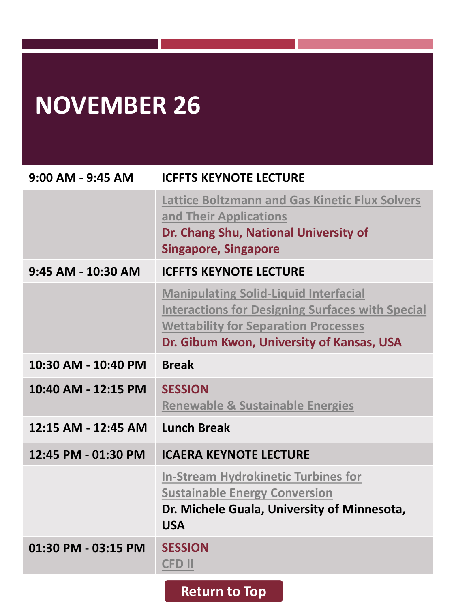# <span id="page-10-0"></span>**NOVEMBER 26**

| $9:00$ AM - $9:45$ AM | <b>ICFFTS KEYNOTE LECTURE</b>                                                                                                                                                                       |
|-----------------------|-----------------------------------------------------------------------------------------------------------------------------------------------------------------------------------------------------|
|                       | <b>Lattice Boltzmann and Gas Kinetic Flux Solvers</b><br>and Their Applications<br>Dr. Chang Shu, National University of<br><b>Singapore, Singapore</b>                                             |
| 9:45 AM - 10:30 AM    | <b>ICFFTS KEYNOTE LECTURE</b>                                                                                                                                                                       |
|                       | <b>Manipulating Solid-Liquid Interfacial</b><br><b>Interactions for Designing Surfaces with Special</b><br><b>Wettability for Separation Processes</b><br>Dr. Gibum Kwon, University of Kansas, USA |
| 10:30 AM - 10:40 PM   | <b>Break</b>                                                                                                                                                                                        |
| 10:40 AM - 12:15 PM   | <b>SESSION</b><br><b>Renewable &amp; Sustainable Energies</b>                                                                                                                                       |
| 12:15 AM - 12:45 AM   | <b>Lunch Break</b>                                                                                                                                                                                  |
| 12:45 PM - 01:30 PM   | <b>ICAERA KEYNOTE LECTURE</b>                                                                                                                                                                       |
|                       | <b>In-Stream Hydrokinetic Turbines for</b><br><b>Sustainable Energy Conversion</b><br>Dr. Michele Guala, University of Minnesota,<br><b>USA</b>                                                     |
| 01:30 PM - 03:15 PM   | <b>SESSION</b><br><b>CFD II</b>                                                                                                                                                                     |
|                       | <b>Return to Top</b>                                                                                                                                                                                |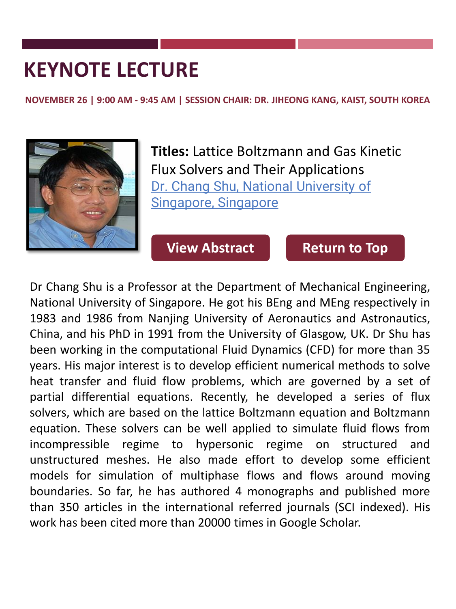<span id="page-11-0"></span>**NOVEMBER 26 | 9:00 AM - 9:45 AM | SESSION CHAIR: DR. JIHEONG KANG, KAIST, SOUTH KOREA**



**Titles:** Lattice Boltzmann and Gas Kinetic Flux Solvers and Their Applications Dr. Chang Shu, National University of Singapore, Singapore

**[View Abstract](https://icffts.com/program/paper/Keynote-Dr.Shu.pdf) [Return to Top](#page-0-0)** 

Dr Chang Shu is a Professor at the Department of Mechanical Engineering, National University of Singapore. He got his BEng and MEng respectively in 1983 and 1986 from Nanjing University of Aeronautics and Astronautics, China, and his PhD in 1991 from the University of Glasgow, UK. Dr Shu has been working in the computational Fluid Dynamics (CFD) for more than 35 years. His major interest is to develop efficient numerical methods to solve heat transfer and fluid flow problems, which are governed by a set of partial differential equations. Recently, he developed a series of flux solvers, which are based on the lattice Boltzmann equation and Boltzmann equation. These solvers can be well applied to simulate fluid flows from incompressible regime to hypersonic regime on structured and unstructured meshes. He also made effort to develop some efficient models for simulation of multiphase flows and flows around moving boundaries. So far, he has authored 4 monographs and published more than 350 articles in the international referred journals (SCI indexed). His work has been cited more than 20000 times in Google Scholar.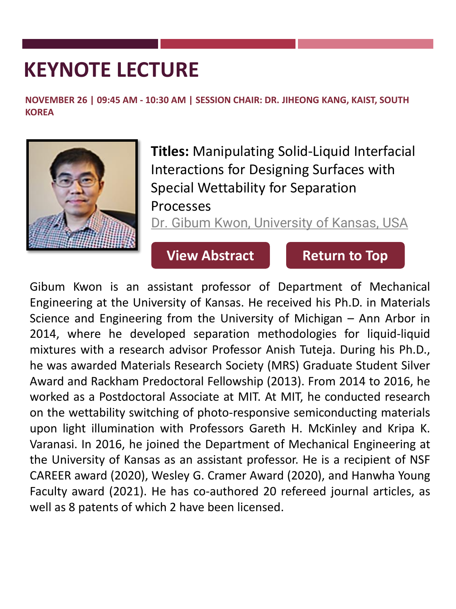<span id="page-12-0"></span>**NOVEMBER 26 | 09:45 AM - 10:30 AM | SESSION CHAIR: DR. JIHEONG KANG, KAIST, SOUTH KOREA**



**Titles:** Manipulating Solid-Liquid Interfacial Interactions for Designing Surfaces with Special Wettability for Separation Processes

Dr. Gibum [Kwon, University of Kansas, USA](https://me.engr.ku.edu/gibum-kwon)

#### **[View Abstract](https://icffts.com/program/paper/Keynote-Dr.Kwon.pdf) [Return to Top](#page-0-0)**

Gibum Kwon is an assistant professor of Department of Mechanical Engineering at the University of Kansas. He received his Ph.D. in Materials Science and Engineering from the University of Michigan – Ann Arbor in 2014, where he developed separation methodologies for liquid-liquid mixtures with a research advisor Professor Anish Tuteja. During his Ph.D., he was awarded Materials Research Society (MRS) Graduate Student Silver Award and Rackham Predoctoral Fellowship (2013). From 2014 to 2016, he worked as a Postdoctoral Associate at MIT. At MIT, he conducted research on the wettability switching of photo-responsive semiconducting materials upon light illumination with Professors Gareth H. McKinley and Kripa K. Varanasi. In 2016, he joined the Department of Mechanical Engineering at the University of Kansas as an assistant professor. He is a recipient of NSF CAREER award (2020), Wesley G. Cramer Award (2020), and Hanwha Young Faculty award (2021). He has co-authored 20 refereed journal articles, as well as 8 patents of which 2 have been licensed.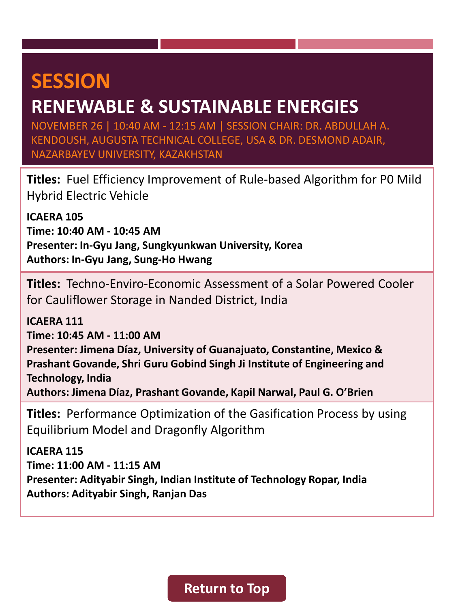#### <span id="page-13-0"></span>**RENEWABLE & SUSTAINABLE ENERGIES**

NOVEMBER 26 | 10:40 AM - 12:15 AM | SESSION CHAIR: DR. ABDULLAH A. KENDOUSH, AUGUSTA TECHNICAL COLLEGE, USA & DR. DESMOND ADAIR, NAZARBAYEV UNIVERSITY, KAZAKHSTAN

**Titles:** Fuel Efficiency Improvement of Rule-based Algorithm for P0 Mild Hybrid Electric Vehicle

**ICAERA 105 Time: 10:40 AM - 10:45 AM Presenter: In-Gyu Jang, Sungkyunkwan University, Korea Authors: In-Gyu Jang, Sung-Ho Hwang**

**Titles:** Techno-Enviro-Economic Assessment of a Solar Powered Cooler for Cauliflower Storage in Nanded District, India

**ICAERA 111 Time: 10:45 AM - 11:00 AM Presenter: Jimena Díaz, University of Guanajuato, Constantine, Mexico & Prashant Govande, Shri Guru Gobind Singh Ji Institute of Engineering and Technology, India Authors: Jimena Díaz, Prashant Govande, Kapil Narwal, Paul G. O'Brien**

**Titles:** Performance Optimization of the Gasification Process by using Equilibrium Model and Dragonfly Algorithm

**ICAERA 115 Time: 11:00 AM - 11:15 AM Presenter: Adityabir Singh, Indian Institute of Technology Ropar, India Authors: Adityabir Singh, Ranjan Das**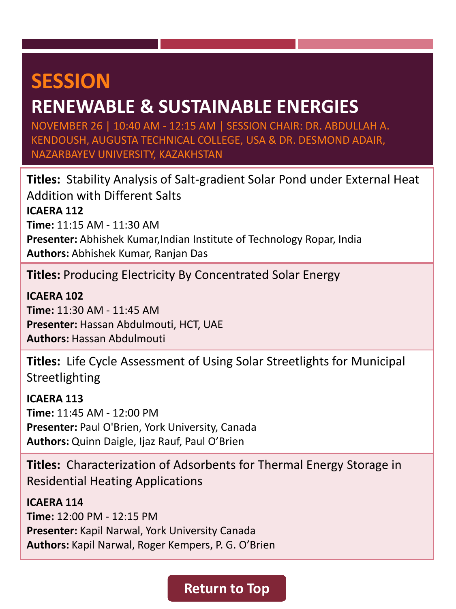#### **RENEWABLE & SUSTAINABLE ENERGIES**

NOVEMBER 26 | 10:40 AM - 12:15 AM | SESSION CHAIR: DR. ABDULLAH A. KENDOUSH, AUGUSTA TECHNICAL COLLEGE, USA & DR. DESMOND ADAIR, NAZARBAYEV UNIVERSITY, KAZAKHSTAN

**Titles:** Stability Analysis of Salt-gradient Solar Pond under External Heat Addition with Different Salts **ICAERA 112 Time:** 11:15 AM - 11:30 AM **Presenter:** Abhishek Kumar,Indian Institute of Technology Ropar, India **Authors:** Abhishek Kumar, Ranjan Das

**Titles:** Producing Electricity By Concentrated Solar Energy

**ICAERA 102 Time:** 11:30 AM - 11:45 AM **Presenter:** Hassan Abdulmouti, HCT, UAE **Authors:** Hassan Abdulmouti

**Titles:** Life Cycle Assessment of Using Solar Streetlights for Municipal Streetlighting

**ICAERA 113 Time:** 11:45 AM - 12:00 PM **Presenter:** Paul O'Brien, York University, Canada **Authors:** Quinn Daigle, Ijaz Rauf, Paul O'Brien

**Titles:** Characterization of Adsorbents for Thermal Energy Storage in Residential Heating Applications

**ICAERA 114 Time:** 12:00 PM - 12:15 PM **Presenter:** Kapil Narwal, York University Canada **Authors:** Kapil Narwal, Roger Kempers, P. G. O'Brien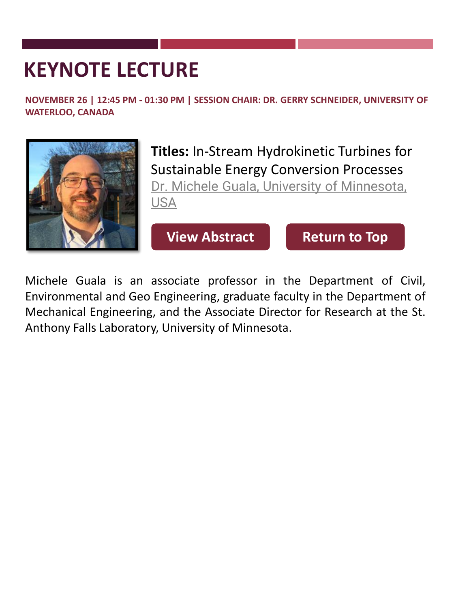<span id="page-15-0"></span>**NOVEMBER 26 | 12:45 PM - 01:30 PM | SESSION CHAIR: DR. GERRY SCHNEIDER, UNIVERSITY OF WATERLOO, CANADA**



**Titles:** In-Stream Hydrokinetic Turbines for Sustainable Energy Conversion Processes [Dr. Michele Guala, University of Minnesota,](https://cse.umn.edu/cege/michele-guala)  USA

**[View Abstract](https://icffts.com/program/paper/Keynote-Dr.Guala.pdf) [Return to Top](#page-0-0)** 

Michele Guala is an associate professor in the Department of Civil, Environmental and Geo Engineering, graduate faculty in the Department of Mechanical Engineering, and the Associate Director for Research at the St. Anthony Falls Laboratory, University of Minnesota.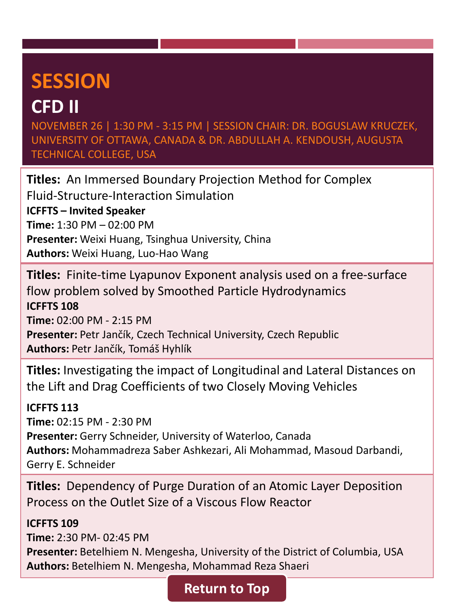#### <span id="page-16-0"></span>**CFD II**

NOVEMBER 26 | 1:30 PM - 3:15 PM | SESSION CHAIR: DR. BOGUSLAW KRUCZEK, UNIVERSITY OF OTTAWA, CANADA & DR. ABDULLAH A. KENDOUSH, AUGUSTA TECHNICAL COLLEGE, USA

**Titles:** An Immersed Boundary Projection Method for Complex Fluid-Structure-Interaction Simulation **ICFFTS – Invited Speaker Time:** 1:30 PM – 02:00 PM **Presenter:** Weixi Huang, Tsinghua University, China **Authors:** Weixi Huang, Luo-Hao Wang

**Titles:** Finite-time Lyapunov Exponent analysis used on a free-surface flow problem solved by Smoothed Particle Hydrodynamics **ICFFTS 108 Time:** 02:00 PM - 2:15 PM **Presenter:** Petr Jančík, Czech Technical University, Czech Republic **Authors:** Petr Jančík, Tomáš Hyhlík

**Titles:** Investigating the impact of Longitudinal and Lateral Distances on the Lift and Drag Coefficients of two Closely Moving Vehicles

#### **ICFFTS 113**

**Time:** 02:15 PM - 2:30 PM **Presenter:** Gerry Schneider, University of Waterloo, Canada **Authors:** Mohammadreza Saber Ashkezari, Ali Mohammad, Masoud Darbandi, Gerry E. Schneider

**Titles:** Dependency of Purge Duration of an Atomic Layer Deposition Process on the Outlet Size of a Viscous Flow Reactor

#### **ICFFTS 109**

**Time:** 2:30 PM- 02:45 PM **Presenter:** Betelhiem N. Mengesha, University of the District of Columbia, USA **Authors:** Betelhiem N. Mengesha, Mohammad Reza Shaeri